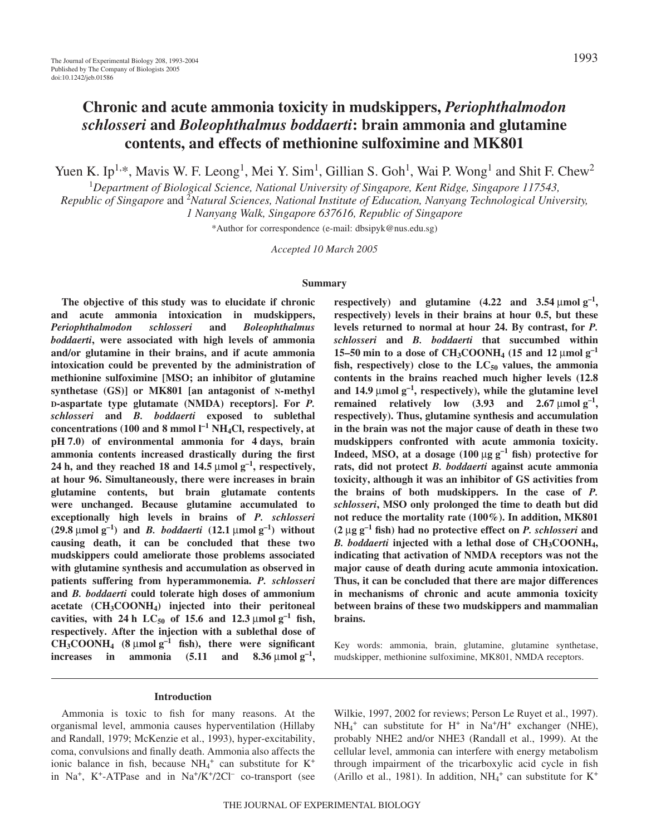# **Chronic and acute ammonia toxicity in mudskippers,** *Periophthalmodon schlosseri* **and** *Boleophthalmus boddaerti***: brain ammonia and glutamine contents, and effects of methionine sulfoximine and MK801**

Yuen K. Ip<sup>1,\*</sup>, Mavis W. F. Leong<sup>1</sup>, Mei Y. Sim<sup>1</sup>, Gillian S. Goh<sup>1</sup>, Wai P. Wong<sup>1</sup> and Shit F. Chew<sup>2</sup>

1 *Department of Biological Science, National University of Singapore, Kent Ridge, Singapore 117543,*

Republic of Singapore and <sup>2</sup>Natural Sciences, National Institute of Education, Nanyang Technological University, *1 Nanyang Walk, Singapore 637616, Republic of Singapore*

\*Author for correspondence (e-mail: dbsipyk@nus.edu.sg)

*Accepted 10 March 2005*

### **Summary**

**The objective of this study was to elucidate if chronic and acute ammonia intoxication in mudskippers,** *Periophthalmodon schlosseri* **and** *Boleophthalmus boddaerti***, were associated with high levels of ammonia and/or glutamine in their brains, and if acute ammonia intoxication could be prevented by the administration of methionine sulfoximine [MSO; an inhibitor of glutamine synthetase (GS)] or MK801 [an antagonist of N-methyl D-aspartate type glutamate (NMDA) receptors]. For** *P. schlosseri* **and** *B. boddaerti* **exposed to sublethal** concentrations (100 and 8 mmol  $I^{-1}$  NH<sub>4</sub>Cl, respectively, at pH 7.0) of environmental ammonia for 4 days, brain **ammonia contents increased drastically during the first** 24 h, and they reached 18 and 14.5  $\mu$ mol  $g^{-1}$ , respectively, **at hour 96. Simultaneously, there were increases in brain glutamine contents, but brain glutamate contents were unchanged. Because glutamine accumulated to exceptionally high levels in brains of** *P. schlosseri*  $(29.8 \mu \text{mol g}^{-1})$  and *B. boddaerti*  $(12.1 \mu \text{mol g}^{-1})$  without **causing death, it can be concluded that these two mudskippers could ameliorate those problems associated with glutamine synthesis and accumulation as observed in patients suffering from hyperammonemia.** *P. schlosseri* **and** *B. boddaerti* **could tolerate high doses of ammonium acetate (CH3COONH4) injected into their peritoneal cavities, with 24h**  $LC_{50}$  of 15.6 and 12.3 µmol  $g^{-1}$  fish, **respectively. After the injection with a sublethal dose of**  $CH_3COONH_4$  (8  $\mu$ mol  $g^{-1}$  fish), there were significant **increases** in ammonia  $(5.11 \text{ and } 8.36 \mu \text{mol g}^{-1})$ ,

**respectively)** and glutamine  $(4.22 \text{ and } 3.54 \text{ \mu mol g}^{-1})$ **respectively) levels in their brains at hour 0.5, but these levels returned to normal at hour 24. By contrast, for** *P. schlosseri* **and** *B. boddaerti* **that succumbed within 15–50 min to a dose of CH<sub>3</sub>COONH<sub>4</sub> (15 and 12 µmol g<sup>-1</sup>** fish, respectively) close to the  $LC_{50}$  values, the ammonia **contents in the brains reached much higher levels (12.8** and 14.9  $\mu$ mol  $g^{-1}$ , respectively), while the glutamine level **remained** relatively low  $(3.93 \text{ and } 2.67 \text{ }\mu\text{mol g}^{-1})$ , **respectively). Thus, glutamine synthesis and accumulation in the brain was not the major cause of death in these two mudskippers confronted with acute ammonia toxicity. Indeed, MSO, at a dosage**  $(100 \mu g g^{-1}$  **fish) protective for rats, did not protect** *B. boddaerti* **against acute ammonia toxicity, although it was an inhibitor of GS activities from the brains of both mudskippers. In the case of** *P. schlosseri***, MSO only prolonged the time to death but did not reduce the mortality rate (100%). In addition, MK801**  $(2 \mu g g^{-1}$  fish) had no protective effect on *P. schlosseri* and *B. boddaerti* **injected with a lethal dose of CH3COONH4, indicating that activation of NMDA receptors was not the major cause of death during acute ammonia intoxication. Thus, it can be concluded that there are major differences in mechanisms of chronic and acute ammonia toxicity between brains of these two mudskippers and mammalian brains.**

Key words: ammonia, brain, glutamine, glutamine synthetase, mudskipper, methionine sulfoximine, MK801, NMDA receptors.

#### **Introduction**

Ammonia is toxic to fish for many reasons. At the organismal level, ammonia causes hyperventilation (Hillaby and Randall, 1979; McKenzie et al., 1993), hyper-excitability, coma, convulsions and finally death. Ammonia also affects the ionic balance in fish, because  $NH_4^+$  can substitute for  $K^+$ in Na<sup>+</sup>, K<sup>+</sup>-ATPase and in Na<sup>+</sup>/K<sup>+</sup>/2Cl<sup>-</sup> co-transport (see Wilkie, 1997, 2002 for reviews; Person Le Ruyet et al., 1997).  $NH_4^+$  can substitute for H<sup>+</sup> in Na<sup>+</sup>/H<sup>+</sup> exchanger (NHE), probably NHE2 and/or NHE3 (Randall et al., 1999). At the cellular level, ammonia can interfere with energy metabolism through impairment of the tricarboxylic acid cycle in fish (Arillo et al., 1981). In addition,  $NH_4$ <sup>+</sup> can substitute for K<sup>+</sup>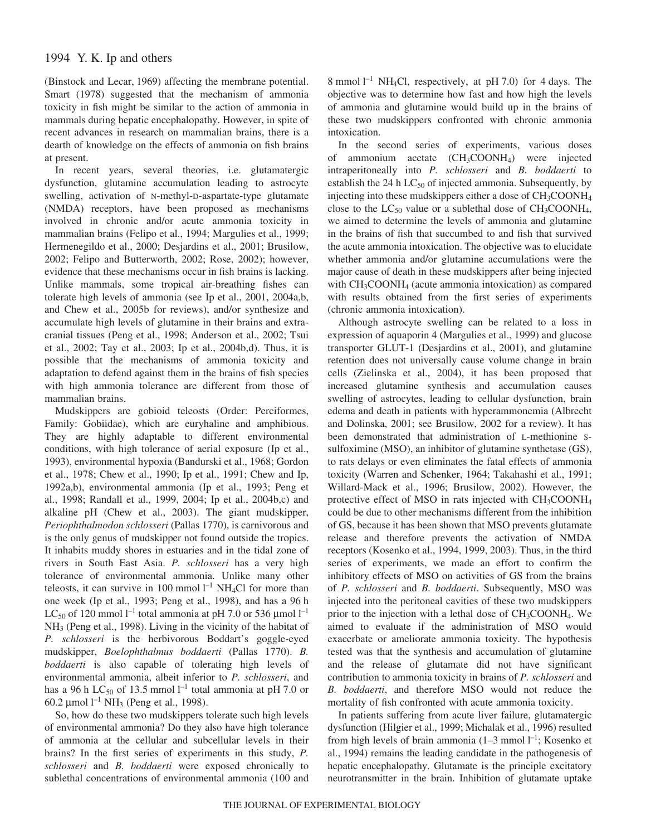(Binstock and Lecar, 1969) affecting the membrane potential. Smart (1978) suggested that the mechanism of ammonia toxicity in fish might be similar to the action of ammonia in mammals during hepatic encephalopathy. However, in spite of recent advances in research on mammalian brains, there is a dearth of knowledge on the effects of ammonia on fish brains at present.

In recent years, several theories, i.e. glutamatergic dysfunction, glutamine accumulation leading to astrocyte swelling, activation of N-methyl-D-aspartate-type glutamate (NMDA) receptors, have been proposed as mechanisms involved in chronic and/or acute ammonia toxicity in mammalian brains (Felipo et al., 1994; Margulies et al., 1999; Hermenegildo et al., 2000; Desjardins et al., 2001; Brusilow, 2002; Felipo and Butterworth, 2002; Rose, 2002); however, evidence that these mechanisms occur in fish brains is lacking. Unlike mammals, some tropical air-breathing fishes can tolerate high levels of ammonia (see Ip et al., 2001, 2004a,b, and Chew et al., 2005b for reviews), and/or synthesize and accumulate high levels of glutamine in their brains and extracranial tissues (Peng et al., 1998; Anderson et al., 2002; Tsui et al., 2002; Tay et al., 2003; Ip et al., 2004b,d). Thus, it is possible that the mechanisms of ammonia toxicity and adaptation to defend against them in the brains of fish species with high ammonia tolerance are different from those of mammalian brains.

Mudskippers are gobioid teleosts (Order: Perciformes, Family: Gobiidae), which are euryhaline and amphibious. They are highly adaptable to different environmental conditions, with high tolerance of aerial exposure (Ip et al., 1993), environmental hypoxia (Bandurski et al., 1968; Gordon et al., 1978; Chew et al., 1990; Ip et al., 1991; Chew and Ip, 1992a,b), environmental ammonia (Ip et al., 1993; Peng et al., 1998; Randall et al., 1999, 2004; Ip et al., 2004b,c) and alkaline pH (Chew et al., 2003). The giant mudskipper, *Periophthalmodon schlosseri* (Pallas 1770), is carnivorous and is the only genus of mudskipper not found outside the tropics. It inhabits muddy shores in estuaries and in the tidal zone of rivers in South East Asia. *P. schlosseri* has a very high tolerance of environmental ammonia. Unlike many other teleosts, it can survive in 100 mmol  $l^{-1}$  NH<sub>4</sub>Cl for more than one week (Ip et al., 1993; Peng et al., 1998), and has a 96 h LC<sub>50</sub> of 120 mmol l<sup>-1</sup> total ammonia at pH 7.0 or 536 µmol l<sup>-1</sup> NH3 (Peng et al., 1998). Living in the vicinity of the habitat of *P. schlosseri* is the herbivorous Boddart's goggle-eyed mudskipper, *Boelophthalmus boddaerti* (Pallas 1770). *B. boddaerti* is also capable of tolerating high levels of environmental ammonia, albeit inferior to *P. schlosseri*, and has a 96 h LC<sub>50</sub> of 13.5 mmol  $l^{-1}$  total ammonia at pH 7.0 or 60.2  $\mu$ mol l<sup>-1</sup> NH<sub>3</sub> (Peng et al., 1998).

So, how do these two mudskippers tolerate such high levels of environmental ammonia? Do they also have high tolerance of ammonia at the cellular and subcellular levels in their brains? In the first series of experiments in this study, *P. schlosseri* and *B. boddaerti* were exposed chronically to sublethal concentrations of environmental ammonia (100 and

8 mmol  $l^{-1}$  NH<sub>4</sub>Cl, respectively, at pH 7.0) for 4 days. The objective was to determine how fast and how high the levels of ammonia and glutamine would build up in the brains of these two mudskippers confronted with chronic ammonia intoxication.

In the second series of experiments, various doses of ammonium acetate (CH3COONH4) were injected intraperitoneally into *P. schlosseri* and *B. boddaerti* to establish the 24 h  $LC_{50}$  of injected ammonia. Subsequently, by injecting into these mudskippers either a dose of CH<sub>3</sub>COONH<sub>4</sub> close to the  $LC_{50}$  value or a sublethal dose of  $CH_3COONH_4$ , we aimed to determine the levels of ammonia and glutamine in the brains of fish that succumbed to and fish that survived the acute ammonia intoxication. The objective was to elucidate whether ammonia and/or glutamine accumulations were the major cause of death in these mudskippers after being injected with CH<sub>3</sub>COONH<sub>4</sub> (acute ammonia intoxication) as compared with results obtained from the first series of experiments (chronic ammonia intoxication).

Although astrocyte swelling can be related to a loss in expression of aquaporin 4 (Margulies et al., 1999) and glucose transporter GLUT-1 (Desjardins et al., 2001), and glutamine retention does not universally cause volume change in brain cells (Zielinska et al., 2004), it has been proposed that increased glutamine synthesis and accumulation causes swelling of astrocytes, leading to cellular dysfunction, brain edema and death in patients with hyperammonemia (Albrecht and Dolinska, 2001; see Brusilow, 2002 for a review). It has been demonstrated that administration of L-methionine Ssulfoximine (MSO), an inhibitor of glutamine synthetase (GS), to rats delays or even eliminates the fatal effects of ammonia toxicity (Warren and Schenker, 1964; Takahashi et al., 1991; Willard-Mack et al., 1996; Brusilow, 2002). However, the protective effect of MSO in rats injected with CH<sub>3</sub>COONH<sub>4</sub> could be due to other mechanisms different from the inhibition of GS, because it has been shown that MSO prevents glutamate release and therefore prevents the activation of NMDA receptors (Kosenko et al., 1994, 1999, 2003). Thus, in the third series of experiments, we made an effort to confirm the inhibitory effects of MSO on activities of GS from the brains of *P. schlosseri* and *B. boddaerti*. Subsequently, MSO was injected into the peritoneal cavities of these two mudskippers prior to the injection with a lethal dose of CH3COONH4. We aimed to evaluate if the administration of MSO would exacerbate or ameliorate ammonia toxicity. The hypothesis tested was that the synthesis and accumulation of glutamine and the release of glutamate did not have significant contribution to ammonia toxicity in brains of *P. schlosseri* and *B. boddaerti*, and therefore MSO would not reduce the mortality of fish confronted with acute ammonia toxicity.

In patients suffering from acute liver failure, glutamatergic dysfunction (Hilgier et al., 1999; Michalak et al., 1996) resulted from high levels of brain ammonia (1–3 mmol l<sup>-1</sup>; Kosenko et al., 1994) remains the leading candidate in the pathogenesis of hepatic encephalopathy. Glutamate is the principle excitatory neurotransmitter in the brain. Inhibition of glutamate uptake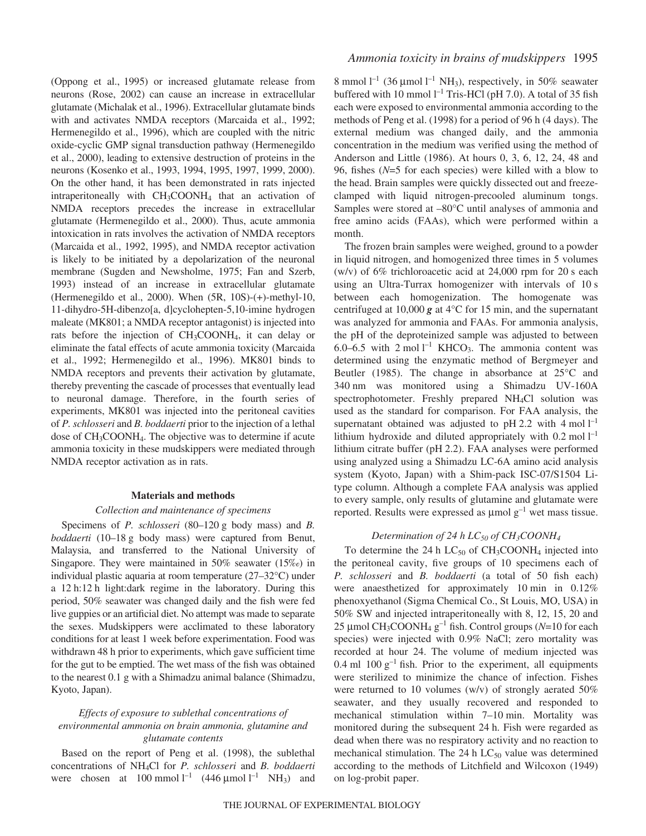(Oppong et al., 1995) or increased glutamate release from neurons (Rose, 2002) can cause an increase in extracellular glutamate (Michalak et al., 1996). Extracellular glutamate binds with and activates NMDA receptors (Marcaida et al., 1992; Hermenegildo et al., 1996), which are coupled with the nitric oxide-cyclic GMP signal transduction pathway (Hermenegildo et al., 2000), leading to extensive destruction of proteins in the neurons (Kosenko et al., 1993, 1994, 1995, 1997, 1999, 2000). On the other hand, it has been demonstrated in rats injected intraperitoneally with CH3COONH4 that an activation of NMDA receptors precedes the increase in extracellular glutamate (Hermenegildo et al., 2000). Thus, acute ammonia intoxication in rats involves the activation of NMDA receptors (Marcaida et al., 1992, 1995), and NMDA receptor activation is likely to be initiated by a depolarization of the neuronal membrane (Sugden and Newsholme, 1975; Fan and Szerb, 1993) instead of an increase in extracellular glutamate (Hermenegildo et al., 2000). When (5R, 10S)-(+)-methyl-10, 11-dihydro-5H-dibenzo[a, d]cyclohepten-5,10-imine hydrogen maleate (MK801; a NMDA receptor antagonist) is injected into rats before the injection of CH3COONH4, it can delay or eliminate the fatal effects of acute ammonia toxicity (Marcaida et al., 1992; Hermenegildo et al., 1996). MK801 binds to NMDA receptors and prevents their activation by glutamate, thereby preventing the cascade of processes that eventually lead to neuronal damage. Therefore, in the fourth series of experiments, MK801 was injected into the peritoneal cavities of *P. schlosseri* and *B. boddaerti* prior to the injection of a lethal dose of CH3COONH4. The objective was to determine if acute ammonia toxicity in these mudskippers were mediated through NMDA receptor activation as in rats.

#### **Materials and methods**

#### *Collection and maintenance of specimens*

Specimens of *P. schlosseri* (80–120 g body mass) and *B. boddaerti* (10–18 g body mass) were captured from Benut, Malaysia, and transferred to the National University of Singapore. They were maintained in 50% seawater (15‰) in individual plastic aquaria at room temperature (27–32°C) under a 12 h:12 h light:dark regime in the laboratory. During this period, 50% seawater was changed daily and the fish were fed live guppies or an artificial diet. No attempt was made to separate the sexes. Mudskippers were acclimated to these laboratory conditions for at least 1 week before experimentation. Food was withdrawn 48 h prior to experiments, which gave sufficient time for the gut to be emptied. The wet mass of the fish was obtained to the nearest 0.1 g with a Shimadzu animal balance (Shimadzu, Kyoto, Japan).

## *Effects of exposure to sublethal concentrations of environmental ammonia on brain ammonia, glutamine and glutamate contents*

Based on the report of Peng et al. (1998), the sublethal concentrations of NH4Cl for *P. schlosseri* and *B. boddaerti* were chosen at  $100 \text{ mmol } l^{-1}$  (446  $\mu$ mol<sup>-1</sup> NH<sub>3</sub>) and

# *Ammonia toxicity in brains of mudskippers* 1995

8 mmol  $l^{-1}$  (36 µmol  $l^{-1}$  NH<sub>3</sub>), respectively, in 50% seawater buffered with 10 mmol  $l^{-1}$  Tris-HCl (pH 7.0). A total of 35 fish each were exposed to environmental ammonia according to the methods of Peng et al. (1998) for a period of 96 h (4 days). The external medium was changed daily, and the ammonia concentration in the medium was verified using the method of Anderson and Little (1986). At hours 0, 3, 6, 12, 24, 48 and 96, fishes (*N*=5 for each species) were killed with a blow to the head. Brain samples were quickly dissected out and freezeclamped with liquid nitrogen-precooled aluminum tongs. Samples were stored at –80°C until analyses of ammonia and free amino acids (FAAs), which were performed within a month.

The frozen brain samples were weighed, ground to a powder in liquid nitrogen, and homogenized three times in 5 volumes (w/v) of  $6\%$  trichloroacetic acid at 24,000 rpm for 20 s each using an Ultra-Turrax homogenizer with intervals of 10 s between each homogenization. The homogenate was centrifuged at 10,000  $g$  at 4<sup>°</sup>C for 15 min, and the supernatant was analyzed for ammonia and FAAs. For ammonia analysis, the pH of the deproteinized sample was adjusted to between 6.0–6.5 with  $2 \text{ mol } l^{-1}$  KHCO<sub>3</sub>. The ammonia content was determined using the enzymatic method of Bergmeyer and Beutler (1985). The change in absorbance at 25°C and 340 nm was monitored using a Shimadzu UV-160A spectrophotometer. Freshly prepared NH4Cl solution was used as the standard for comparison. For FAA analysis, the supernatant obtained was adjusted to pH 2.2 with 4 mol  $l^{-1}$ lithium hydroxide and diluted appropriately with  $0.2$  mol  $I^{-1}$ lithium citrate buffer (pH 2.2). FAA analyses were performed using analyzed using a Shimadzu LC-6A amino acid analysis system (Kyoto, Japan) with a Shim-pack ISC-07/S1504 Litype column. Although a complete FAA analysis was applied to every sample, only results of glutamine and glutamate were reported. Results were expressed as  $\mu$ mol  $g^{-1}$  wet mass tissue.

### *Determination of 24 h LC<sub>50</sub> of CH<sub>3</sub>COONH<sub>4</sub>*

To determine the 24 h  $LC_{50}$  of  $CH_3COONH_4$  injected into the peritoneal cavity, five groups of 10 specimens each of *P. schlosseri* and *B. boddaerti* (a total of 50 fish each) were anaesthetized for approximately 10 min in  $0.12\%$ phenoxyethanol (Sigma Chemical Co., St Louis, MO, USA) in 50% SW and injected intraperitoneally with 8, 12, 15, 20 and 25 µmol CH<sub>3</sub>COONH<sub>4</sub> g<sup>-1</sup> fish. Control groups ( $N=10$  for each species) were injected with 0.9% NaCl; zero mortality was recorded at hour 24. The volume of medium injected was 0.4 ml  $100 g^{-1}$  fish. Prior to the experiment, all equipments were sterilized to minimize the chance of infection. Fishes were returned to 10 volumes (w/v) of strongly aerated 50% seawater, and they usually recovered and responded to mechanical stimulation within  $7-10$  min. Mortality was monitored during the subsequent 24 h. Fish were regarded as dead when there was no respiratory activity and no reaction to mechanical stimulation. The 24 h  $LC_{50}$  value was determined according to the methods of Litchfield and Wilcoxon (1949) on log-probit paper.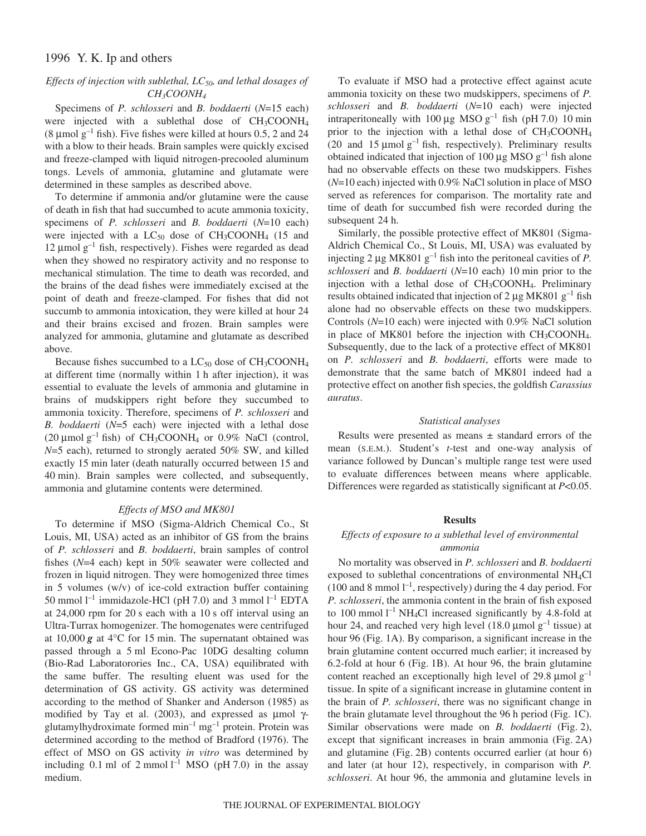### *Effects of injection with sublethal, LC50, and lethal dosages of CH3COONH4*

Specimens of *P. schlosseri* and *B. boddaerti* (*N*=15 each) were injected with a sublethal dose of CH<sub>3</sub>COONH<sub>4</sub> (8 µmol  $g^{-1}$  fish). Five fishes were killed at hours 0.5, 2 and 24 with a blow to their heads. Brain samples were quickly excised and freeze-clamped with liquid nitrogen-precooled aluminum tongs. Levels of ammonia, glutamine and glutamate were determined in these samples as described above.

To determine if ammonia and/or glutamine were the cause of death in fish that had succumbed to acute ammonia toxicity, specimens of *P. schlosseri* and *B. boddaerti* (*N*=10 each) were injected with a  $LC_{50}$  dose of  $CH_3COONH_4$  (15 and 12  $\mu$ mol g<sup>-1</sup> fish, respectively). Fishes were regarded as dead when they showed no respiratory activity and no response to mechanical stimulation. The time to death was recorded, and the brains of the dead fishes were immediately excised at the point of death and freeze-clamped. For fishes that did not succumb to ammonia intoxication, they were killed at hour 24 and their brains excised and frozen. Brain samples were analyzed for ammonia, glutamine and glutamate as described above.

Because fishes succumbed to a  $LC_{50}$  dose of  $CH_3COONH_4$ at different time (normally within 1 h after injection), it was essential to evaluate the levels of ammonia and glutamine in brains of mudskippers right before they succumbed to ammonia toxicity. Therefore, specimens of *P. schlosseri* and *B. boddaerti* (*N*=5 each) were injected with a lethal dose (20  $\mu$ mol g<sup>-1</sup> fish) of CH<sub>3</sub>COONH<sub>4</sub> or 0.9% NaCl (control, *N*=5 each), returned to strongly aerated 50% SW, and killed exactly 15 min later (death naturally occurred between 15 and 40 min). Brain samples were collected, and subsequently, ammonia and glutamine contents were determined.

### *Effects of MSO and MK801*

To determine if MSO (Sigma-Aldrich Chemical Co., St Louis, MI, USA) acted as an inhibitor of GS from the brains of *P. schlosseri* and *B. boddaerti*, brain samples of control fishes (*N*=4 each) kept in 50% seawater were collected and frozen in liquid nitrogen. They were homogenized three times in 5 volumes (w/v) of ice-cold extraction buffer containing 50 mmol  $l^{-1}$  immidazole-HCl (pH 7.0) and 3 mmol  $l^{-1}$  EDTA at  $24,000$  rpm for  $20$  s each with a 10 s off interval using an Ultra-Turrax homogenizer. The homogenates were centrifuged at  $10,000$  g at  $4^{\circ}$ C for 15 min. The supernatant obtained was passed through a 5 ml Econo-Pac 10DG desalting column (Bio-Rad Laboratorories Inc., CA, USA) equilibrated with the same buffer. The resulting eluent was used for the determination of GS activity. GS activity was determined according to the method of Shanker and Anderson (1985) as modified by Tay et al. (2003), and expressed as  $\mu$ mol  $\gamma$ glutamylhydroximate formed  $\text{min}^{-1} \text{ mg}^{-1}$  protein. Protein was determined according to the method of Bradford (1976). The effect of MSO on GS activity *in vitro* was determined by including 0.1 ml of 2 mmol  $l^{-1}$  MSO (pH 7.0) in the assay medium.

To evaluate if MSO had a protective effect against acute ammonia toxicity on these two mudskippers, specimens of *P. schlosseri* and *B. boddaerti* (*N*=10 each) were injected intraperitoneally with 100  $\mu$ g MSO g<sup>-1</sup> fish (pH 7.0) 10 min prior to the injection with a lethal dose of CH<sub>3</sub>COONH<sub>4</sub> (20 and 15  $\mu$ mol g<sup>-1</sup> fish, respectively). Preliminary results obtained indicated that injection of 100  $\mu$ g MSO g<sup>-1</sup> fish alone had no observable effects on these two mudskippers. Fishes (*N*=10 each) injected with 0.9% NaCl solution in place of MSO served as references for comparison. The mortality rate and time of death for succumbed fish were recorded during the subsequent 24 h.

Similarly, the possible protective effect of MK801 (Sigma-Aldrich Chemical Co., St Louis, MI, USA) was evaluated by injecting 2  $\mu$ g MK801 g<sup>-1</sup> fish into the peritoneal cavities of *P*. *schlosseri* and *B. boddaerti* (*N*=10 each) 10 min prior to the injection with a lethal dose of CH3COONH4. Preliminary results obtained indicated that injection of 2  $\mu$ g MK801 g<sup>-1</sup> fish alone had no observable effects on these two mudskippers. Controls (*N*=10 each) were injected with 0.9% NaCl solution in place of MK801 before the injection with  $CH<sub>3</sub>COONH<sub>4</sub>$ . Subsequently, due to the lack of a protective effect of MK801 on *P. schlosseri* and *B. boddaerti*, efforts were made to demonstrate that the same batch of MK801 indeed had a protective effect on another fish species, the goldfish *Carassius auratus*.

#### *Statistical analyses*

Results were presented as means  $\pm$  standard errors of the mean (S.E.M.). Student's *t*-test and one-way analysis of variance followed by Duncan's multiple range test were used to evaluate differences between means where applicable. Differences were regarded as statistically significant at *P*<0.05.

#### **Results**

### *Effects of exposure to a sublethal level of environmental ammonia*

No mortality was observed in *P. schlosseri* and *B. boddaerti* exposed to sublethal concentrations of environmental NH4Cl  $(100 \text{ and } 8 \text{ mmol } l^{-1}$ , respectively) during the 4 day period. For *P. schlosseri*, the ammonia content in the brain of fish exposed to 100 mmol  $l^{-1}$  NH<sub>4</sub>Cl increased significantly by 4.8-fold at hour 24, and reached very high level (18.0  $\mu$ mol g<sup>-1</sup> tissue) at hour 96 (Fig. 1A). By comparison, a significant increase in the brain glutamine content occurred much earlier; it increased by  $6.2$ -fold at hour  $6$  (Fig. 1B). At hour 96, the brain glutamine content reached an exceptionally high level of 29.8  $\mu$ mol g<sup>-1</sup> tissue. In spite of a significant increase in glutamine content in the brain of *P. schlosseri*, there was no significant change in the brain glutamate level throughout the 96 h period (Fig. 1C). Similar observations were made on *B. boddaerti* (Fig. 2), except that significant increases in brain ammonia  $(Fig. 2A)$ and glutamine (Fig.  $2B$ ) contents occurred earlier (at hour 6) and later (at hour 12), respectively, in comparison with *P. schlosseri*. At hour 96, the ammonia and glutamine levels in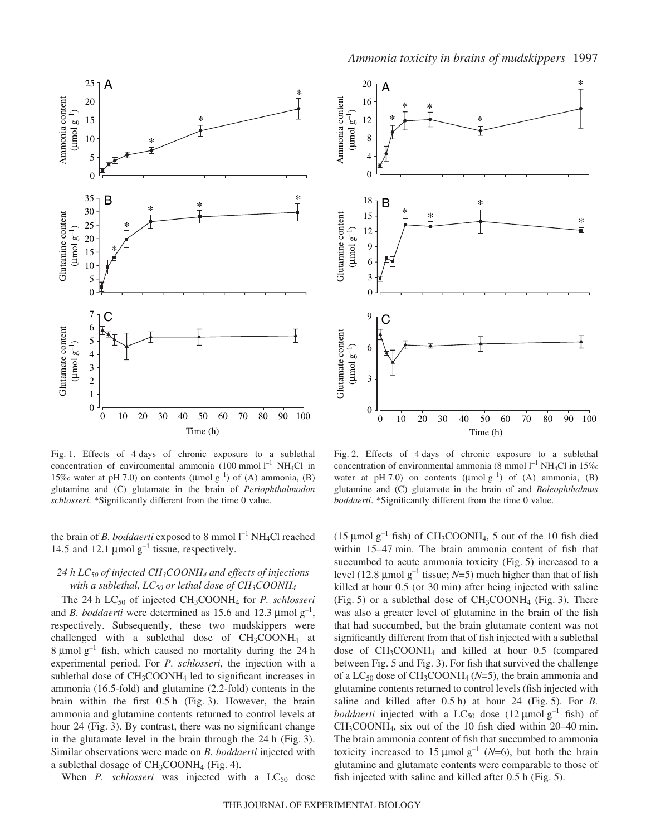

Fig. 1. Effects of 4 days of chronic exposure to a sublethal concentration of environmental ammonia  $(100 \text{ mmol } l^{-1} \text{ NH}_4Cl$  in 15‰ water at pH 7.0) on contents ( $\mu$ mol g<sup>-1</sup>) of (A) ammonia, (B) glutamine and (C) glutamate in the brain of *Periophthalmodon schlosseri*. \*Significantly different from the time 0 value.

the brain of *B. boddaerti* exposed to 8 mmol  $1^{-1}$  NH<sub>4</sub>Cl reached 14.5 and 12.1  $\mu$ mol g<sup>-1</sup> tissue, respectively.

### *24·h LC50 of injected CH3COONH4 and effects of injections with a sublethal, LC50 or lethal dose of CH3COONH4*

The 24 h LC<sub>50</sub> of injected CH<sub>3</sub>COONH<sub>4</sub> for *P. schlosseri* and *B. boddaerti* were determined as 15.6 and 12.3  $\mu$ mol  $g^{-1}$ , respectively. Subsequently, these two mudskippers were challenged with a sublethal dose of  $CH_3COONH_4$  at 8 µmol  $g^{-1}$  fish, which caused no mortality during the 24 h experimental period. For *P. schlosseri*, the injection with a sublethal dose of  $CH_3COONH_4$  led to significant increases in ammonia (16.5-fold) and glutamine (2.2-fold) contents in the brain within the first  $0.5h$  (Fig. 3). However, the brain ammonia and glutamine contents returned to control levels at hour 24 (Fig. 3). By contrast, there was no significant change in the glutamate level in the brain through the  $24h$  (Fig. 3). Similar observations were made on *B. boddaerti* injected with a sublethal dosage of  $CH<sub>3</sub>COONH<sub>4</sub>$  (Fig. 4).

When  $P$ . schlosseri was injected with a  $LC_{50}$  dose



Fig. 2. Effects of 4 days of chronic exposure to a sublethal concentration of environmental ammonia (8 mmol  $l^{-1}$  NH<sub>4</sub>Cl in 15‰ water at pH 7.0) on contents ( $\mu$ molg<sup>-1</sup>) of (A) ammonia, (B) glutamine and (C) glutamate in the brain of and *Boleophthalmus boddaerti*. \*Significantly different from the time 0 value.

(15  $\mu$ mol g<sup>-1</sup> fish) of CH<sub>3</sub>COONH<sub>4</sub>, 5 out of the 10 fish died within 15–47 min. The brain ammonia content of fish that succumbed to acute ammonia toxicity (Fig. 5) increased to a level (12.8  $\mu$ mol g<sup>-1</sup> tissue; *N*=5) much higher than that of fish killed at hour 0.5 (or 30 min) after being injected with saline (Fig. 5) or a sublethal dose of  $CH_3COONH_4$  (Fig. 3). There was also a greater level of glutamine in the brain of the fish that had succumbed, but the brain glutamate content was not significantly different from that of fish injected with a sublethal dose of CH3COONH4 and killed at hour 0.5 (compared between Fig. 5 and Fig. 3). For fish that survived the challenge of a  $LC_{50}$  dose of  $CH_3COONH_4$  ( $N=5$ ), the brain ammonia and glutamine contents returned to control levels (fish injected with saline and killed after  $0.5 \text{ h}$ ) at hour 24 (Fig. 5). For *B*. *boddaerti* injected with a LC<sub>50</sub> dose (12  $\mu$ mol g<sup>-1</sup> fish) of  $CH<sub>3</sub>COONH<sub>4</sub>$ , six out of the 10 fish died within 20–40 min. The brain ammonia content of fish that succumbed to ammonia toxicity increased to 15  $\mu$ mol g<sup>-1</sup> (*N*=6), but both the brain glutamine and glutamate contents were comparable to those of fish injected with saline and killed after  $0.5$  h (Fig. 5).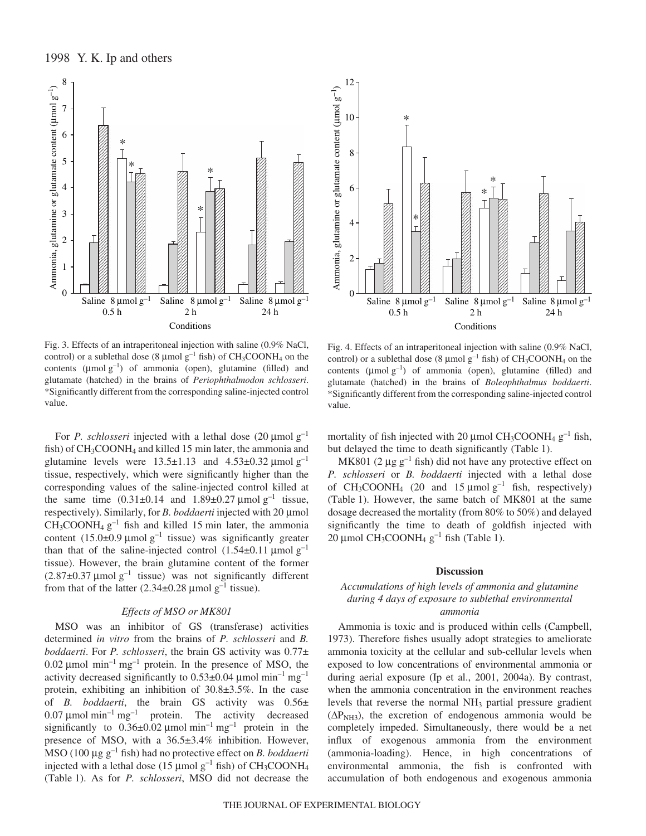

Fig. 3. Effects of an intraperitoneal injection with saline (0.9% NaCl, control) or a sublethal dose (8  $\mu$ mol g<sup>-1</sup> fish) of CH<sub>3</sub>COONH<sub>4</sub> on the contents ( $\mu$ molg<sup>-1</sup>) of ammonia (open), glutamine (filled) and glutamate (hatched) in the brains of *Periophthalmodon schlosseri*. \*Significantly different from the corresponding saline-injected control value.

For *P. schlosseri* injected with a lethal dose  $(20 \mu \text{mol g}^{-1})$ fish) of  $CH<sub>3</sub>COONH<sub>4</sub>$  and killed 15 min later, the ammonia and glutamine levels were  $13.5\pm1.13$  and  $4.53\pm0.32 \text{ \mu mol g}^{-1}$ tissue, respectively, which were significantly higher than the corresponding values of the saline-injected control killed at the same time  $(0.31 \pm 0.14$  and  $1.89 \pm 0.27$  µmol g<sup>-1</sup> tissue, respectively). Similarly, for *B. boddaerti* injected with 20 µmol  $CH<sub>3</sub>COONH<sub>4</sub> g<sup>-1</sup>$  fish and killed 15 min later, the ammonia content  $(15.0\pm0.9 \text{ \mu mol g}^{-1}$  tissue) was significantly greater than that of the saline-injected control  $(1.54\pm0.11 \text{ }\mu\text{mol g}^{-1})$ tissue). However, the brain glutamine content of the former  $(2.87\pm0.37 \,\mu\text{mol g}^{-1})$  tissue) was not significantly different from that of the latter  $(2.34\pm0.28 \text{ \mu mol g}^{-1} \text{ tissue}).$ 

#### *Effects of MSO or MK801*

MSO was an inhibitor of GS (transferase) activities determined *in vitro* from the brains of *P. schlosseri* and *B. boddaerti*. For *P. schlosseri*, the brain GS activity was 0.77± 0.02  $\mu$ mol min<sup>-1</sup> mg<sup>-1</sup> protein. In the presence of MSO, the activity decreased significantly to  $0.53\pm0.04 \mu$  mol min<sup>-1</sup> mg<sup>-1</sup> protein, exhibiting an inhibition of 30.8±3.5%. In the case of *B. boddaerti*, the brain GS activity was 0.56± 0.07  $\mu$ mol min<sup>-1</sup> mg<sup>-1</sup> protein. The activity decreased significantly to  $0.36\pm0.02 \mu$  mol min<sup>-1</sup> mg<sup>-1</sup> protein in the presence of MSO, with a 36.5±3.4% inhibition. However, MSO (100  $\mu$ g g<sup>-1</sup> fish) had no protective effect on *B. boddaerti* injected with a lethal dose (15  $\mu$ mol g<sup>-1</sup> fish) of CH<sub>3</sub>COONH<sub>4</sub> (Table·1). As for *P. schlosseri*, MSO did not decrease the



Fig. 4. Effects of an intraperitoneal injection with saline (0.9% NaCl, control) or a sublethal dose (8  $\mu$ mol  $g^{-1}$  fish) of CH<sub>3</sub>COONH<sub>4</sub> on the contents ( $\mu$ mol  $g^{-1}$ ) of ammonia (open), glutamine (filled) and glutamate (hatched) in the brains of *Boleophthalmus boddaerti*. \*Significantly different from the corresponding saline-injected control value.

mortality of fish injected with 20  $\mu$ mol CH<sub>3</sub>COONH<sub>4</sub> g<sup>-1</sup> fish, but delayed the time to death significantly (Table 1).

MK801 (2  $\mu$ g g<sup>-1</sup> fish) did not have any protective effect on *P. schlosseri* or *B. boddaerti* injected with a lethal dose of  $CH_3COONH_4$  (20 and 15 µmol  $g^{-1}$  fish, respectively) (Table 1). However, the same batch of MK801 at the same dosage decreased the mortality (from 80% to 50%) and delayed significantly the time to death of goldfish injected with  $20 \mu$ mol CH<sub>3</sub>COONH<sub>4</sub> g<sup>-1</sup> fish (Table 1).

#### **Discussion**

### *Accumulations of high levels of ammonia and glutamine during 4·days of exposure to sublethal environmental ammonia*

Ammonia is toxic and is produced within cells (Campbell, 1973). Therefore fishes usually adopt strategies to ameliorate ammonia toxicity at the cellular and sub-cellular levels when exposed to low concentrations of environmental ammonia or during aerial exposure (Ip et al., 2001, 2004a). By contrast, when the ammonia concentration in the environment reaches levels that reverse the normal NH3 partial pressure gradient  $(\Delta P_{NH3})$ , the excretion of endogenous ammonia would be completely impeded. Simultaneously, there would be a net influx of exogenous ammonia from the environment (ammonia-loading). Hence, in high concentrations of environmental ammonia, the fish is confronted with accumulation of both endogenous and exogenous ammonia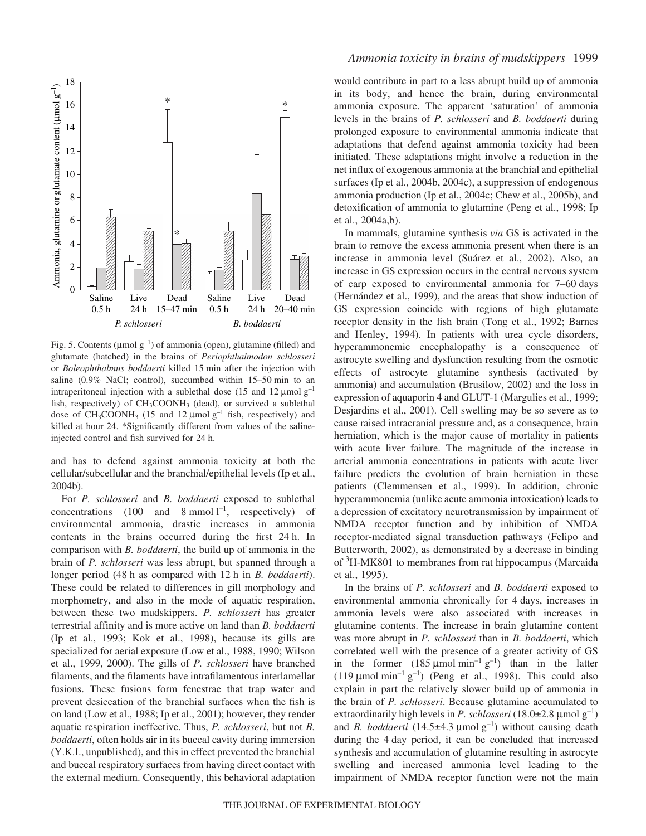

Fig. 5. Contents ( $\mu$ mol g<sup>-1</sup>) of ammonia (open), glutamine (filled) and glutamate (hatched) in the brains of *Periophthalmodon schlosseri* or *Boleophthalmus boddaerti* killed 15·min after the injection with saline (0.9% NaCl; control), succumbed within  $15-50$  min to an intraperitoneal injection with a sublethal dose (15 and 12  $\mu$ mol g<sup>-1</sup> fish, respectively) of CH<sub>3</sub>COONH<sub>3</sub> (dead), or survived a sublethal dose of CH<sub>3</sub>COONH<sub>3</sub> (15 and 12 µmol  $g^{-1}$  fish, respectively) and killed at hour 24. \*Significantly different from values of the salineinjected control and fish survived for 24 h.

and has to defend against ammonia toxicity at both the cellular/subcellular and the branchial/epithelial levels (Ip et al., 2004b).

For *P. schlosseri* and *B. boddaerti* exposed to sublethal concentrations (100 and 8 mmol  $l^{-1}$ , respectively) of environmental ammonia, drastic increases in ammonia contents in the brains occurred during the first 24 h. In comparison with *B. boddaerti*, the build up of ammonia in the brain of *P. schlosseri* was less abrupt, but spanned through a longer period (48<sup>h</sup> as compared with 12<sup>h</sup> in *B. boddaerti*). These could be related to differences in gill morphology and morphometry, and also in the mode of aquatic respiration, between these two mudskippers. *P. schlosseri* has greater terrestrial affinity and is more active on land than *B. boddaerti* (Ip et al., 1993; Kok et al., 1998), because its gills are specialized for aerial exposure (Low et al., 1988, 1990; Wilson et al., 1999, 2000). The gills of *P. schlosseri* have branched filaments, and the filaments have intrafilamentous interlamellar fusions. These fusions form fenestrae that trap water and prevent desiccation of the branchial surfaces when the fish is on land (Low et al., 1988; Ip et al., 2001); however, they render aquatic respiration ineffective. Thus, *P. schlosseri*, but not *B. boddaerti*, often holds air in its buccal cavity during immersion (Y.K.I., unpublished), and this in effect prevented the branchial and buccal respiratory surfaces from having direct contact with the external medium. Consequently, this behavioral adaptation

would contribute in part to a less abrupt build up of ammonia in its body, and hence the brain, during environmental ammonia exposure. The apparent 'saturation' of ammonia levels in the brains of *P. schlosseri* and *B. boddaerti* during prolonged exposure to environmental ammonia indicate that adaptations that defend against ammonia toxicity had been initiated. These adaptations might involve a reduction in the net influx of exogenous ammonia at the branchial and epithelial surfaces (Ip et al., 2004b, 2004c), a suppression of endogenous ammonia production (Ip et al., 2004c; Chew et al., 2005b), and detoxification of ammonia to glutamine (Peng et al., 1998; Ip et al., 2004a,b).

In mammals, glutamine synthesis *via* GS is activated in the brain to remove the excess ammonia present when there is an increase in ammonia level (Suárez et al., 2002). Also, an increase in GS expression occurs in the central nervous system of carp exposed to environmental ammonia for 7–60 days (Hernández et al., 1999), and the areas that show induction of GS expression coincide with regions of high glutamate receptor density in the fish brain (Tong et al., 1992; Barnes and Henley, 1994). In patients with urea cycle disorders, hyperammonemic encephalopathy is a consequence of astrocyte swelling and dysfunction resulting from the osmotic effects of astrocyte glutamine synthesis (activated by ammonia) and accumulation (Brusilow, 2002) and the loss in expression of aquaporin 4 and GLUT-1 (Margulies et al., 1999; Desjardins et al., 2001). Cell swelling may be so severe as to cause raised intracranial pressure and, as a consequence, brain herniation, which is the major cause of mortality in patients with acute liver failure. The magnitude of the increase in arterial ammonia concentrations in patients with acute liver failure predicts the evolution of brain herniation in these patients (Clemmensen et al., 1999). In addition, chronic hyperammonemia (unlike acute ammonia intoxication) leads to a depression of excitatory neurotransmission by impairment of NMDA receptor function and by inhibition of NMDA receptor-mediated signal transduction pathways (Felipo and Butterworth, 2002), as demonstrated by a decrease in binding of <sup>3</sup>H-MK801 to membranes from rat hippocampus (Marcaida et al., 1995).

In the brains of *P. schlosseri* and *B. boddaerti* exposed to environmental ammonia chronically for 4 days, increases in ammonia levels were also associated with increases in glutamine contents. The increase in brain glutamine content was more abrupt in *P. schlosseri* than in *B. boddaerti*, which correlated well with the presence of a greater activity of GS in the former  $(185 \text{ µmol min}^{-1} \text{ g}^{-1})$  than in the latter (119  $\mu$ mol min<sup>-1</sup> g<sup>-1</sup>) (Peng et al., 1998). This could also explain in part the relatively slower build up of ammonia in the brain of *P. schlosseri*. Because glutamine accumulated to extraordinarily high levels in *P. schlosseri* (18.0 $\pm$ 2.8 µmol g<sup>-1</sup>) and *B. boddaerti* (14.5 $\pm$ 4.3 µmol g<sup>-1</sup>) without causing death during the 4 day period, it can be concluded that increased synthesis and accumulation of glutamine resulting in astrocyte swelling and increased ammonia level leading to the impairment of NMDA receptor function were not the main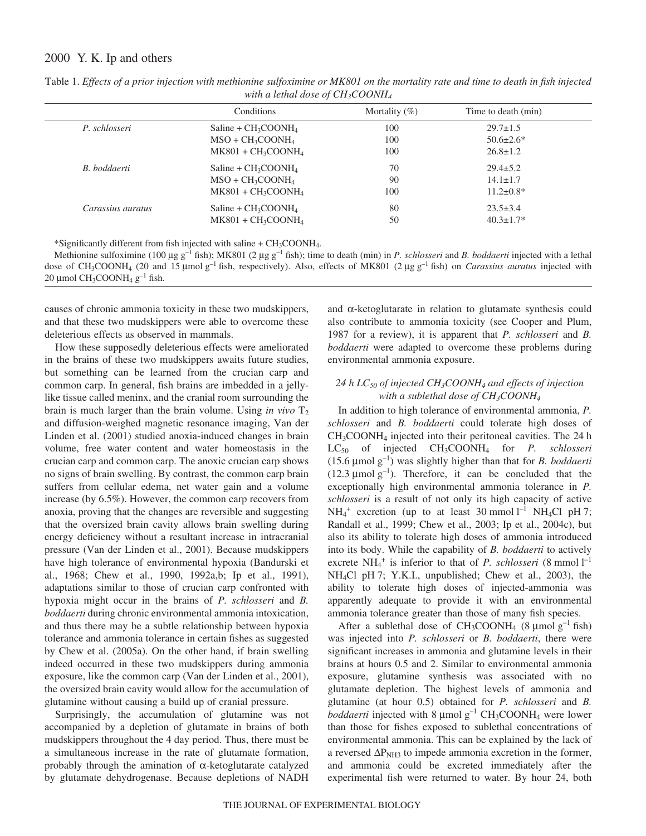|                   | Conditions             | Mortality $(\%)$ | Time to death (min) |
|-------------------|------------------------|------------------|---------------------|
| P. schlosseri     | Saline + $CH_3COONH_4$ | 100              | $29.7 \pm 1.5$      |
|                   | $MSO + CH_3COONH_4$    | 100              | $50.6 \pm 2.6^*$    |
|                   | $MK801 + CH_3COONH_4$  | 100              | $26.8 \pm 1.2$      |
| B. boddaerti      | Saline + $CH_3COONH_4$ | 70               | $29.4 \pm 5.2$      |
|                   | $MSO + CH_3COONH_4$    | 90               | $14.1 \pm 1.7$      |
|                   | $MK801 + CH_3COONH_4$  | 100              | $11.2 \pm 0.8^*$    |
| Carassius auratus | $Saline + CH3COONH4$   | 80               | $23.5 \pm 3.4$      |
|                   | $MK801 + CH_3COONH_4$  | 50               | $40.3 \pm 1.7*$     |

Table 1. *Effects of a prior injection with methionine sulfoximine or MK801 on the mortality rate and time to death in fish injected with a lethal dose of CH3COONH4*

\*Significantly different from fish injected with saline + CH3COONH4.

Methionine sulfoximine (100 µg g<sup>-1</sup> fish); MK801 (2 µg g<sup>-1</sup> fish); time to death (min) in *P. schlosseri* and *B. boddaerti* injected with a lethal dose of CH<sub>3</sub>COONH<sub>4</sub> (20 and 15 µmol g<sup>-1</sup> fish, respectively). Also, effects of MK801 (2 µg g<sup>-1</sup> fish) on *Carassius auratus* injected with 20 µmol CH<sub>3</sub>COONH<sub>4</sub>  $g^{-1}$  fish.

causes of chronic ammonia toxicity in these two mudskippers, and that these two mudskippers were able to overcome these deleterious effects as observed in mammals.

How these supposedly deleterious effects were ameliorated in the brains of these two mudskippers awaits future studies, but something can be learned from the crucian carp and common carp. In general, fish brains are imbedded in a jellylike tissue called meninx, and the cranial room surrounding the brain is much larger than the brain volume. Using *in vivo*  $T_2$ and diffusion-weighed magnetic resonance imaging, Van der Linden et al. (2001) studied anoxia-induced changes in brain volume, free water content and water homeostasis in the crucian carp and common carp. The anoxic crucian carp shows no signs of brain swelling. By contrast, the common carp brain suffers from cellular edema, net water gain and a volume increase (by 6.5%). However, the common carp recovers from anoxia, proving that the changes are reversible and suggesting that the oversized brain cavity allows brain swelling during energy deficiency without a resultant increase in intracranial pressure (Van der Linden et al., 2001). Because mudskippers have high tolerance of environmental hypoxia (Bandurski et al., 1968; Chew et al., 1990, 1992a,b; Ip et al., 1991), adaptations similar to those of crucian carp confronted with hypoxia might occur in the brains of *P. schlosseri* and *B. boddaerti* during chronic environmental ammonia intoxication, and thus there may be a subtle relationship between hypoxia tolerance and ammonia tolerance in certain fishes as suggested by Chew et al. (2005a). On the other hand, if brain swelling indeed occurred in these two mudskippers during ammonia exposure, like the common carp (Van der Linden et al., 2001), the oversized brain cavity would allow for the accumulation of glutamine without causing a build up of cranial pressure.

Surprisingly, the accumulation of glutamine was not accompanied by a depletion of glutamate in brains of both mudskippers throughout the 4 day period. Thus, there must be a simultaneous increase in the rate of glutamate formation, probably through the amination of α-ketoglutarate catalyzed by glutamate dehydrogenase. Because depletions of NADH and  $\alpha$ -ketoglutarate in relation to glutamate synthesis could also contribute to ammonia toxicity (see Cooper and Plum, 1987 for a review), it is apparent that *P. schlosseri* and *B. boddaerti* were adapted to overcome these problems during environmental ammonia exposure.

### *24·h LC50 of injected CH3COONH4 and effects of injection with a sublethal dose of CH3COONH4*

In addition to high tolerance of environmental ammonia, *P. schlosseri* and *B. boddaerti* could tolerate high doses of CH<sub>3</sub>COONH<sub>4</sub> injected into their peritoneal cavities. The 24<sup>h</sup> LC50 of injected CH3COONH4 for *P. schlosseri* (15.6  $\mu$ mol g<sup>-1</sup>) was slightly higher than that for *B. boddaerti* (12.3  $\mu$ mol g<sup>-1</sup>). Therefore, it can be concluded that the exceptionally high environmental ammonia tolerance in *P. schlosseri* is a result of not only its high capacity of active  $NH_4^+$  excretion (up to at least 30 mmol  $l^{-1}$  NH<sub>4</sub>Cl pH 7; Randall et al., 1999; Chew et al., 2003; Ip et al., 2004c), but also its ability to tolerate high doses of ammonia introduced into its body. While the capability of *B. boddaerti* to actively excrete  $NH_4^+$  is inferior to that of *P. schlosseri* (8 mmol  $l^{-1}$ NH<sub>4</sub>Cl pH 7; Y.K.I., unpublished; Chew et al., 2003), the ability to tolerate high doses of injected-ammonia was apparently adequate to provide it with an environmental ammonia tolerance greater than those of many fish species.

After a sublethal dose of  $CH_3COONH_4$  (8 µmol  $g^{-1}$  fish) was injected into *P. schlosseri* or *B. boddaerti*, there were significant increases in ammonia and glutamine levels in their brains at hours 0.5 and 2. Similar to environmental ammonia exposure, glutamine synthesis was associated with no glutamate depletion. The highest levels of ammonia and glutamine (at hour 0.5) obtained for *P. schlosseri* and *B. boddaerti* injected with 8  $\mu$ mol g<sup>-1</sup> CH<sub>3</sub>COONH<sub>4</sub> were lower than those for fishes exposed to sublethal concentrations of environmental ammonia. This can be explained by the lack of a reversed  $\Delta P_{\text{NH3}}$  to impede ammonia excretion in the former, and ammonia could be excreted immediately after the experimental fish were returned to water. By hour 24, both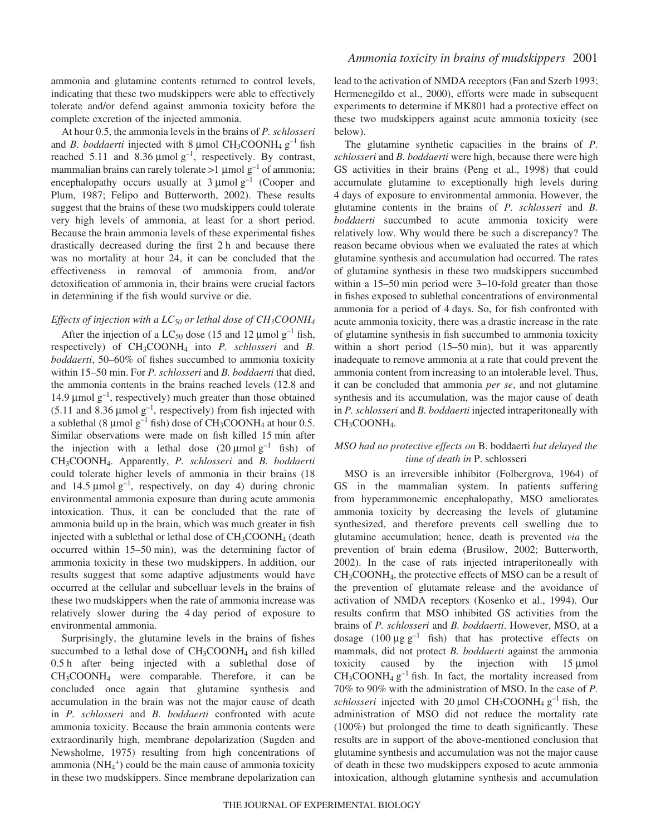ammonia and glutamine contents returned to control levels, indicating that these two mudskippers were able to effectively tolerate and/or defend against ammonia toxicity before the complete excretion of the injected ammonia.

At hour 0.5, the ammonia levels in the brains of *P. schlosseri* and *B. boddaerti* injected with 8 µmol  $CH_3COONH_4$   $g^{-1}$  fish reached 5.11 and 8.36  $\mu$ mol g<sup>-1</sup>, respectively. By contrast, mammalian brains can rarely tolerate >1  $\mu$ mol g<sup>-1</sup> of ammonia; encephalopathy occurs usually at  $3 \mu$ mol  $g^{-1}$  (Cooper and Plum, 1987; Felipo and Butterworth, 2002). These results suggest that the brains of these two mudskippers could tolerate very high levels of ammonia, at least for a short period. Because the brain ammonia levels of these experimental fishes drastically decreased during the first  $2 h$  and because there was no mortality at hour 24, it can be concluded that the effectiveness in removal of ammonia from, and/or detoxification of ammonia in, their brains were crucial factors in determining if the fish would survive or die.

### *Effects of injection with a LC50 or lethal dose of CH3COONH4*

After the injection of a LC<sub>50</sub> dose (15 and 12 µmol  $g^{-1}$  fish, respectively) of CH3COONH4 into *P. schlosseri* and *B. boddaerti*, 50–60% of fishes succumbed to ammonia toxicity within 15–50 min. For *P. schlosseri* and *B. boddaerti* that died, the ammonia contents in the brains reached levels (12.8 and 14.9  $\mu$ mol g<sup>-1</sup>, respectively) much greater than those obtained (5.11 and 8.36  $\mu$ mol g<sup>-1</sup>, respectively) from fish injected with a sublethal (8  $\mu$ mol g<sup>-1</sup> fish) dose of CH<sub>3</sub>COONH<sub>4</sub> at hour 0.5. Similar observations were made on fish killed 15 min after the injection with a lethal dose  $(20 \text{ \mu mol g}^{-1}$  fish) of CH3COONH4. Apparently, *P. schlosseri* and *B. boddaerti* could tolerate higher levels of ammonia in their brains (18 and 14.5  $\mu$ mol g<sup>-1</sup>, respectively, on day 4) during chronic environmental ammonia exposure than during acute ammonia intoxication. Thus, it can be concluded that the rate of ammonia build up in the brain, which was much greater in fish injected with a sublethal or lethal dose of  $CH<sub>3</sub>COONH<sub>4</sub>$  (death occurred within 15–50 min), was the determining factor of ammonia toxicity in these two mudskippers. In addition, our results suggest that some adaptive adjustments would have occurred at the cellular and subcelluar levels in the brains of these two mudskippers when the rate of ammonia increase was relatively slower during the 4 day period of exposure to environmental ammonia.

Surprisingly, the glutamine levels in the brains of fishes succumbed to a lethal dose of  $CH<sub>3</sub>COONH<sub>4</sub>$  and fish killed 0.5 h after being injected with a sublethal dose of CH3COONH4 were comparable. Therefore, it can be concluded once again that glutamine synthesis and accumulation in the brain was not the major cause of death in *P. schlosseri* and *B. boddaerti* confronted with acute ammonia toxicity. Because the brain ammonia contents were extraordinarily high, membrane depolarization (Sugden and Newsholme, 1975) resulting from high concentrations of ammonia  $(NH_4^+)$  could be the main cause of ammonia toxicity in these two mudskippers. Since membrane depolarization can lead to the activation of NMDA receptors (Fan and Szerb 1993; Hermenegildo et al., 2000), efforts were made in subsequent experiments to determine if MK801 had a protective effect on these two mudskippers against acute ammonia toxicity (see below).

The glutamine synthetic capacities in the brains of *P. schlosseri* and *B. boddaerti* were high, because there were high GS activities in their brains (Peng et al., 1998) that could accumulate glutamine to exceptionally high levels during 4·days of exposure to environmental ammonia. However, the glutamine contents in the brains of *P. schlosseri* and *B. boddaerti* succumbed to acute ammonia toxicity were relatively low. Why would there be such a discrepancy? The reason became obvious when we evaluated the rates at which glutamine synthesis and accumulation had occurred. The rates of glutamine synthesis in these two mudskippers succumbed within a  $15-50$  min period were  $3-10$ -fold greater than those in fishes exposed to sublethal concentrations of environmental ammonia for a period of 4 days. So, for fish confronted with acute ammonia toxicity, there was a drastic increase in the rate of glutamine synthesis in fish succumbed to ammonia toxicity within a short period  $(15–50 \text{ min})$ , but it was apparently inadequate to remove ammonia at a rate that could prevent the ammonia content from increasing to an intolerable level. Thus, it can be concluded that ammonia *per se*, and not glutamine synthesis and its accumulation, was the major cause of death in *P. schlosseri* and *B. boddaerti* injected intraperitoneally with CH<sub>3</sub>COONH<sub>4</sub>.

### *MSO had no protective effects on* B. boddaerti *but delayed the time of death in* P. schlosseri

MSO is an irreversible inhibitor (Folbergrova, 1964) of GS in the mammalian system. In patients suffering from hyperammonemic encephalopathy, MSO ameliorates ammonia toxicity by decreasing the levels of glutamine synthesized, and therefore prevents cell swelling due to glutamine accumulation; hence, death is prevented *via* the prevention of brain edema (Brusilow, 2002; Butterworth, 2002). In the case of rats injected intraperitoneally with CH3COONH4, the protective effects of MSO can be a result of the prevention of glutamate release and the avoidance of activation of NMDA receptors (Kosenko et al., 1994). Our results confirm that MSO inhibited GS activities from the brains of *P. schlosseri* and *B. boddaerti*. However, MSO, at a dosage  $(100 \mu g g^{-1}$  fish) that has protective effects on mammals, did not protect *B. boddaerti* against the ammonia toxicity caused by the injection with  $15 \mu$ mol  $CH<sub>3</sub>COONH<sub>4</sub> g<sup>-1</sup>$  fish. In fact, the mortality increased from 70% to 90% with the administration of MSO. In the case of *P. schlosseri* injected with 20  $\mu$ mol CH<sub>3</sub>COONH<sub>4</sub> g<sup>-1</sup> fish, the administration of MSO did not reduce the mortality rate (100%) but prolonged the time to death significantly. These results are in support of the above-mentioned conclusion that glutamine synthesis and accumulation was not the major cause of death in these two mudskippers exposed to acute ammonia intoxication, although glutamine synthesis and accumulation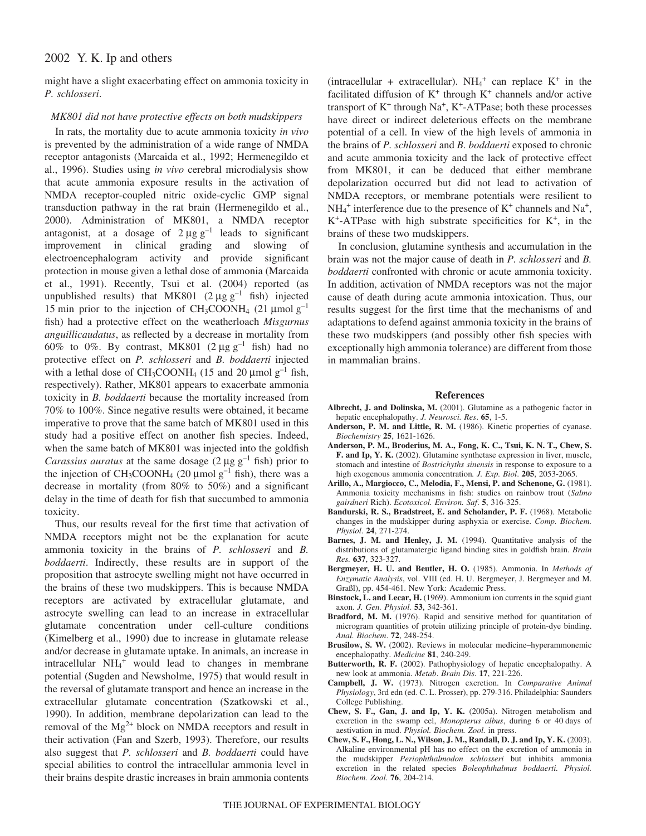might have a slight exacerbating effect on ammonia toxicity in *P. schlosseri*.

#### *MK801 did not have protective effects on both mudskippers*

In rats, the mortality due to acute ammonia toxicity *in vivo* is prevented by the administration of a wide range of NMDA receptor antagonists (Marcaida et al., 1992; Hermenegildo et al., 1996). Studies using *in vivo* cerebral microdialysis show that acute ammonia exposure results in the activation of NMDA receptor-coupled nitric oxide-cyclic GMP signal transduction pathway in the rat brain (Hermenegildo et al., 2000). Administration of MK801, a NMDA receptor antagonist, at a dosage of  $2 \mu g g^{-1}$  leads to significant improvement in clinical grading and slowing of electroencephalogram activity and provide significant protection in mouse given a lethal dose of ammonia (Marcaida et al., 1991). Recently, Tsui et al. (2004) reported (as unpublished results) that MK801 ( $2 \mu g g^{-1}$  fish) injected 15 min prior to the injection of CH<sub>3</sub>COONH<sub>4</sub> (21 µmol  $g^{-1}$ ) fish) had a protective effect on the weatherloach *Misgurnus anguillicaudatus*, as reflected by a decrease in mortality from 60% to 0%. By contrast, MK801 ( $2 \mu g g^{-1}$  fish) had no protective effect on *P. schlosseri* and *B. boddaerti* injected with a lethal dose of  $CH_3COONH_4$  (15 and 20 µmol  $g^{-1}$  fish, respectively). Rather, MK801 appears to exacerbate ammonia toxicity in *B. boddaerti* because the mortality increased from 70% to 100%. Since negative results were obtained, it became imperative to prove that the same batch of MK801 used in this study had a positive effect on another fish species. Indeed, when the same batch of MK801 was injected into the goldfish *Carassius auratus* at the same dosage  $(2 \mu g g^{-1}$  fish) prior to the injection of  $CH_3COONH_4$  (20 µmol  $g^{-1}$  fish), there was a decrease in mortality (from 80% to 50%) and a significant delay in the time of death for fish that succumbed to ammonia toxicity.

Thus, our results reveal for the first time that activation of NMDA receptors might not be the explanation for acute ammonia toxicity in the brains of *P. schlosseri* and *B. boddaerti*. Indirectly, these results are in support of the proposition that astrocyte swelling might not have occurred in the brains of these two mudskippers. This is because NMDA receptors are activated by extracellular glutamate, and astrocyte swelling can lead to an increase in extracellular glutamate concentration under cell-culture conditions (Kimelberg et al., 1990) due to increase in glutamate release and/or decrease in glutamate uptake. In animals, an increase in intracellular NH<sub>4</sub><sup>+</sup> would lead to changes in membrane potential (Sugden and Newsholme, 1975) that would result in the reversal of glutamate transport and hence an increase in the extracellular glutamate concentration (Szatkowski et al., 1990). In addition, membrane depolarization can lead to the removal of the  $Mg^{2+}$  block on NMDA receptors and result in their activation (Fan and Szerb, 1993). Therefore, our results also suggest that *P. schlosseri* and *B. boddaerti* could have special abilities to control the intracellular ammonia level in their brains despite drastic increases in brain ammonia contents

(intracellular + extracellular).  $NH_4$ <sup>+</sup> can replace K<sup>+</sup> in the facilitated diffusion of  $K^+$  through  $K^+$  channels and/or active transport of  $K^+$  through  $Na^+$ ,  $K^+$ -ATPase; both these processes have direct or indirect deleterious effects on the membrane potential of a cell. In view of the high levels of ammonia in the brains of *P. schlosseri* and *B. boddaerti* exposed to chronic and acute ammonia toxicity and the lack of protective effect from MK801, it can be deduced that either membrane depolarization occurred but did not lead to activation of NMDA receptors, or membrane potentials were resilient to  $NH_4^+$  interference due to the presence of  $K^+$  channels and  $Na^+$ ,  $K^+$ -ATPase with high substrate specificities for  $K^+$ , in the brains of these two mudskippers.

In conclusion, glutamine synthesis and accumulation in the brain was not the major cause of death in *P. schlosseri* and *B. boddaerti* confronted with chronic or acute ammonia toxicity. In addition, activation of NMDA receptors was not the major cause of death during acute ammonia intoxication. Thus, our results suggest for the first time that the mechanisms of and adaptations to defend against ammonia toxicity in the brains of these two mudskippers (and possibly other fish species with exceptionally high ammonia tolerance) are different from those in mammalian brains.

#### **References**

- **Albrecht, J. and Dolinska, M.** (2001). Glutamine as a pathogenic factor in hepatic encephalopathy. *J. Neurosci. Res*. **65**, 1-5.
- Anderson, P. M. and Little, R. M. (1986). Kinetic properties of cyanase. *Biochemistry* **25**, 1621-1626.
- **Anderson, P. M., Broderius, M. A., Fong, K. C., Tsui, K. N. T., Chew, S. F. and Ip, Y. K.** (2002). Glutamine synthetase expression in liver, muscle, stomach and intestine of *Bostrichyths sinensis* in response to exposure to a high exogenous ammonia concentration*. J. Exp. Biol*. **205**, 2053-2065.
- **Arillo, A., Margiocco, C., Melodia, F., Mensi, P. and Schenone, G.** (1981). Ammonia toxicity mechanisms in fish: studies on rainbow trout (*Salmo gairdneri* Rich). *Ecotoxicol. Environ. Saf*. **5**, 316-325.
- **Bandurski, R. S., Bradstreet, E. and Scholander, P. F.** (1968). Metabolic changes in the mudskipper during asphyxia or exercise. *Comp. Biochem. Physiol*. **24**, 271-274.
- Barnes, J. M. and Henley, J. M. (1994). Quantitative analysis of the distributions of glutamatergic ligand binding sites in goldfish brain. *Brain Res.* **637**, 323-327.
- **Bergmeyer, H. U. and Beutler, H. O.** (1985). Ammonia. In *Methods of Enzymatic Analysis*, vol. VIII (ed. H. U. Bergmeyer, J. Bergmeyer and M. Graßl), pp. 454-461. New York: Academic Press.
- **Binstock, L. and Lecar, H.** (1969). Ammonium ion currents in the squid giant axon. *J. Gen. Physiol.* **53**, 342-361.
- Bradford, M. M. (1976). Rapid and sensitive method for quantitation of microgram quantities of protein utilizing principle of protein-dye binding. *Anal. Biochem*. **72**, 248-254.
- **Brusilow, S. W.** (2002). Reviews in molecular medicine–hyperammonemic encephalopathy. *Medicine* **81**, 240-249.
- **Butterworth, R. F.** (2002). Pathophysiology of hepatic encephalopathy. A new look at ammonia. *Metab*. *Brain Dis*. **17**, 221-226.
- **Campbell, J. W.** (1973). Nitrogen excretion. In *Comparative Animal Physiology*, 3rd edn (ed. C. L. Prosser), pp. 279-316. Philadelphia: Saunders College Publishing.
- **Chew, S. F., Gan, J. and Ip, Y. K.** (2005a). Nitrogen metabolism and excretion in the swamp eel, *Monopterus albus*, during 6 or 40 days of aestivation in mud. *Physiol. Biochem. Zool.* in press.
- **Chew, S. F., Hong, L. N., Wilson, J. M., Randall, D. J. and Ip, Y. K.** (2003). Alkaline environmental pH has no effect on the excretion of ammonia in the mudskipper *Periophthalmodon schlosseri* but inhibits ammonia excretion in the related species *Boleophthalmus boddaerti. Physiol. Biochem. Zool.* **76**, 204-214.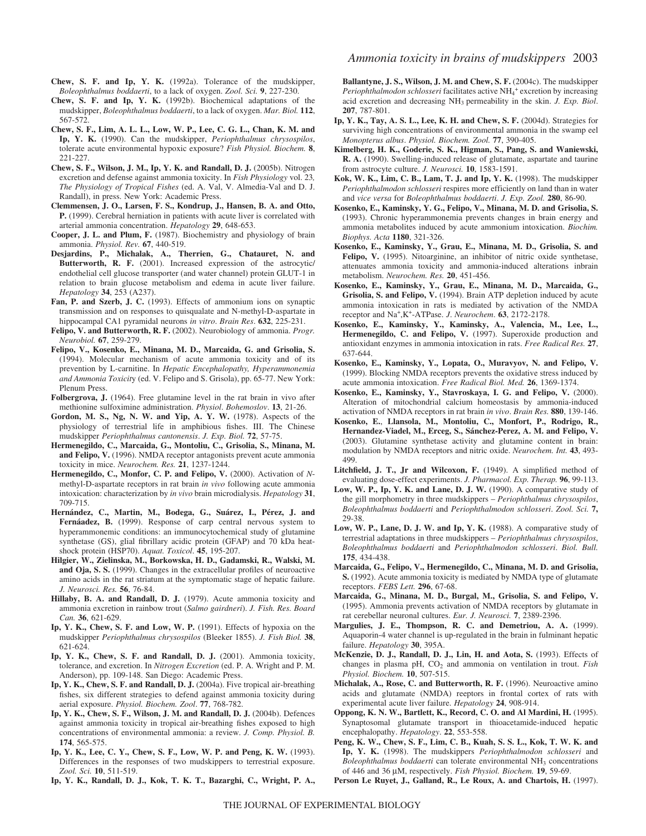- **Chew, S. F. and Ip, Y. K.** (1992a). Tolerance of the mudskipper, *Boleophthalmus boddaerti*, to a lack of oxygen. *Zool. Sci.* **9**, 227-230.
- **Chew, S. F. and Ip, Y. K.** (1992b). Biochemical adaptations of the mudskipper, *Boleophthalmus boddaerti*, to a lack of oxygen. *Mar. Biol.* **112**, 567-572.
- **Chew, S. F., Lim, A. L. L., Low, W. P., Lee, C. G. L., Chan, K. M. and Ip, Y. K.** (1990). Can the mudskipper, *Periophthalmus chrysospilos*, tolerate acute environmental hypoxic exposure? *Fish Physiol. Biochem.* **8**, 221-227.
- **Chew, S. F., Wilson, J. M., Ip, Y. K. and Randall, D. J.** (2005b). Nitrogen excretion and defense against ammonia toxicity. In *Fish Physiology* vol. 23*, The Physiology of Tropical Fishes* (ed. A. Val, V. Almedia-Val and D. J. Randall), in press. New York: Academic Press.
- **Clemmensen, J. O., Larsen, F. S., Kondrup, J., Hansen, B. A. and Otto, P.** (1999). Cerebral herniation in patients with acute liver is correlated with arterial ammonia concentration. *Hepatology* **29**, 648-653.
- **Cooper, J. L. and Plum, F.** (1987). Biochemistry and physiology of brain ammonia. *Physiol. Rev.* **67**, 440-519.
- **Desjardins, P., Michalak, A., Therrien, G., Chatauret, N. and Butterworth, R. F.** (2001). Increased expression of the astrocytic/ endothelial cell glucose transporter (and water channel) protein GLUT-1 in relation to brain glucose metabolism and edema in acute liver failure. *Hepatology* **34**, 253 (A237).
- Fan, P. and Szerb, J. C. (1993). Effects of ammonium ions on synaptic transmission and on responses to quisqualate and N-methyl-D-aspartate in hippocampal CA1 pyramidal neurons *in vitro*. *Brain Res*. **632**, 225-231.
- **Felipo, V. and Butterworth, R. F.** (2002). Neurobiology of ammonia. *Progr. Neurobiol.* **67**, 259-279.
- **Felipo, V., Kosenko, E., Minana, M. D., Marcaida, G. and Grisolia, S.** (1994). Molecular mechanism of acute ammonia toxicity and of its prevention by L-carnitine. In *Hepatic Encephalopathy, Hyperammonemia and Ammonia Toxicit*y (ed. V. Felipo and S. Grisola), pp. 65-77. New York: Plenum Press.
- **Folbergrova, J.** (1964). Free glutamine level in the rat brain in vivo after methionine sulfoximine administration. *Physiol*. *Bohemoslov*. **13**, 21-26.
- **Gordon, M. S., Ng, N. W. and Yip, A. Y. W.** (1978). Aspects of the physiology of terrestrial life in amphibious fishes. III. The Chinese mudskipper *Periophthalmus cantonensis*. *J. Exp. Biol.* **72**, 57-75.
- **Hermenegildo, C., Marcaida, G., Montoliu, C., Grisolia, S., Minana, M. and Felipo, V.** (1996). NMDA receptor antagonists prevent acute ammonia toxicity in mice. *Neurochem. Res.* **21**, 1237-1244.
- **Hermenegildo, C., Monfor, C. P. and Felipo, V.** (2000). Activation of *N*methyl-D-aspartate receptors in rat brain *in vivo* following acute ammonia intoxication: characterization by *in vivo* brain microdialysis. *Hepatology* **31**, 709-715.
- **Hernández, C., Martin, M., Bodega, G., Suárez, I., Pérez, J. and Fernáadez, B.** (1999). Response of carp central nervous system to hyperammonemic conditions: an immunocytochemical study of glutamine synthetase (GS), glial fibrillary acidic protein (GFAP) and 70 kDa heatshock protein (HSP70). *Aquat. Toxicol*. **45**, 195-207.
- **Hilgier, W., Zielinska, M., Borkowska, H. D., Gadamski, R., Walski, M. and Oja, S. S.** (1999). Changes in the extracellular profiles of neuroactive amino acids in the rat striatum at the symptomatic stage of hepatic failure. *J. Neurosci. Res.* **56**, 76-84.
- **Hillaby, B. A. and Randall, D. J.** (1979). Acute ammonia toxicity and ammonia excretion in rainbow trout (*Salmo gairdneri*). *J. Fish. Res. Board Can.* **36**, 621-629.
- **Ip, Y. K., Chew, S. F. and Low, W. P.** (1991). Effects of hypoxia on the mudskipper *Periophthalmus chrysospilos* (Bleeker 1855). *J. Fish Biol.* **38**, 621-624.
- **Ip, Y. K., Chew, S. F. and Randall, D. J.** (2001). Ammonia toxicity, tolerance, and excretion. In *Nitrogen Excretion* (ed. P. A. Wright and P. M. Anderson), pp. 109-148. San Diego: Academic Press.
- **Ip, Y. K., Chew, S. F. and Randall, D. J.** (2004a). Five tropical air-breathing fishes, six different strategies to defend against ammonia toxicity during aerial exposure. *Physiol. Biochem. Zool*. **77**, 768-782.
- **Ip, Y. K., Chew, S. F., Wilson, J. M. and Randall, D. J.** (2004b). Defences against ammonia toxicity in tropical air-breathing fishes exposed to high concentrations of environmental ammonia: a review. *J. Comp. Physiol. B.* **174**, 565-575.
- **Ip, Y. K., Lee, C. Y., Chew, S. F., Low, W. P. and Peng, K. W.** (1993). Differences in the responses of two mudskippers to terrestrial exposure. *Zool. Sci.* **10**, 511-519.

**Ip, Y. K., Randall, D. J., Kok, T. K. T., Bazarghi, C., Wright, P. A.,**

Ballantyne, J. S., Wilson, J. M. and Chew, S. F. (2004c). The mudskipper Periophthalmodon schlosseri facilitates active NH<sub>4</sub><sup>+</sup> excretion by increasing acid excretion and decreasing NH3 permeability in the skin. *J. Exp. Biol*. **207**, 787-801.

- **Ip, Y. K., Tay, A. S. L., Lee, K. H. and Chew, S. F.** (2004d). Strategies for surviving high concentrations of environmental ammonia in the swamp eel *Monopterus albus*. *Physiol. Biochem. Zool.* **77**, 390-405.
- **Kimelberg, H. K., Goderie, S. K., Higman, S., Pang, S. and Waniewski, R. A.** (1990). Swelling-induced release of glutamate, aspartate and taurine from astrocyte culture. *J. Neurosci.* **10**, 1583-1591.
- **Kok, W. K., Lim, C. B., Lam, T. J. and Ip, Y. K.** (1998). The mudskipper *Periophthalmodon schlosseri* respires more efficiently on land than in water and *vice versa* for *Boleophthalmus boddaerti*. *J. Exp. Zool.* **280**, 86-90.
- **Kosenko, E., Kaminsky, Y. G., Felipo, V., Minana, M. D. and Grisolia, S.** (1993). Chronic hyperammonemia prevents changes in brain energy and ammonia metabolites induced by acute ammonium intoxication. *Biochim. Biophys. Acta* **1180**, 321-326.
- **Kosenko, E., Kaminsky, Y., Grau, E., Minana, M. D., Grisolia, S. and** Felipo, V. (1995). Nitoarginine, an inhibitor of nitric oxide synthetase, attenuates ammonia toxicity and ammonia-induced alterations inbrain metabolism. *Neurochem. Res.* **20**, 451-456.
- **Kosenko, E., Kaminsky, Y., Grau, E., Minana, M. D., Marcaida, G., Grisolia, S. and Felipo, V.** (1994). Brain ATP depletion induced by acute ammonia intoxication in rats is mediated by activation of the NMDA receptor and Na+,K+-ATPase. *J*. *Neurochem*. **63**, 2172-2178.
- **Kosenko, E., Kaminsky, Y., Kaminsky, A., Valencia, M., Lee, L., Hermenegildo, C. and Felipo, V.** (1997). Superoxide production and antioxidant enzymes in ammonia intoxication in rats. *Free Radical Res.* **27**, 637-644.
- **Kosenko, E., Kaminsky, Y., Lopata, O., Muravyov, N. and Felipo, V.** (1999). Blocking NMDA receptors prevents the oxidative stress induced by acute ammonia intoxication. *Free Radical Biol. Med.* **26**, 1369-1374.
- **Kosenko, E., Kaminsky, Y., Stavroskaya, I. G. and Felipo, V.** (2000). Alteration of mitochondrial calcium homeostasis by ammonia-induced activation of NMDA receptors in rat brain *in vivo*. *Brain Res.* **880**, 139-146.
- **Kosenko, E.**, **Llansola, M., Montoliu, C., Monfort, P., Rodrigo, R., Hernandez-Viadel, M., Erceg, S., Sánchez-Perez, A. M. and Felipo, V.** (2003). Glutamine synthetase activity and glutamine content in brain: modulation by NMDA receptors and nitric oxide. *Neurochem. Int.* **43**, 493- 499.
- **Litchfield, J. T., Jr and Wilcoxon, F.** (1949). A simplified method of evaluating dose-effect experiments. *J. Pharmacol. Exp. Therap.* **96**, 99-113.
- **Low, W. P., Ip, Y. K. and Lane, D. J. W.** (1990). A comparative study of the gill morphometry in three mudskippers – *Periophthalmus chrysospilos*, *Boleophthalmus boddaerti* and *Periophthalmodon schlosseri*. *Zool. Sci.* **7,** 29-38.
- **Low, W. P., Lane, D. J. W. and Ip, Y. K.** (1988). A comparative study of terrestrial adaptations in three mudskippers – *Periophthalmus chrysospilos*, *Boleophthalmus boddaerti* and *Periophthalmodon schlosseri*. *Biol. Bull.* **175**, 434-438.
- **Marcaida, G., Felipo, V., Hermenegildo, C., Minana, M. D. and Grisolia, S.** (1992). Acute ammonia toxicity is mediated by NMDA type of glutamate receptors. *FEBS Lett.* **296**, 67-68.
- **Marcaida, G., Minana, M. D., Burgal, M., Grisolia, S. and Felipo, V.** (1995). Ammonia prevents activation of NMDA receptors by glutamate in rat cerebellar neuronal cultures. *Eur. J. Neurosci.* **7**, 2389-2396.
- **Margulies, J. E., Thompson, R. C. and Demetriou, A. A.** (1999). Aquaporin-4 water channel is up-regulated in the brain in fulminant hepatic failure. *Hepatology* **30**, 395A.
- **McKenzie, D. J., Randall, D. J., Lin, H. and Aota, S.** (1993). Effects of changes in plasma pH, CO<sub>2</sub> and ammonia on ventilation in trout. Fish *Physiol. Biochem.* **10**, 507-515.
- **Michalak, A., Rose, C. and Butterworth, R. F.** (1996). Neuroactive amino acids and glutamate (NMDA) reeptors in frontal cortex of rats with experimental acute liver failure. *Hepatology* **24**, 908-914.
- **Oppong, K. N. W., Bartlett, K., Record, C. O. and Al Mardini, H.** (1995). Synaptosomal glutamate transport in thioacetamide-induced hepatic encephalopathy. *Hepatology*. **22**, 553-558.
- **Peng, K. W., Chew, S. F., Lim, C. B., Kuah, S. S. L., Kok, T. W. K. and Ip, Y. K.** (1998). The mudskippers *Periophthalmodon schlosseri* and *Boleophthalmus boddaerti* can tolerate environmental NH<sub>3</sub> concentrations of 446 and 36·µM, respectively. *Fish Physiol. Biochem.* **19**, 59-69.
- **Person Le Ruyet, J., Galland, R., Le Roux, A. and Chartois, H.** (1997).